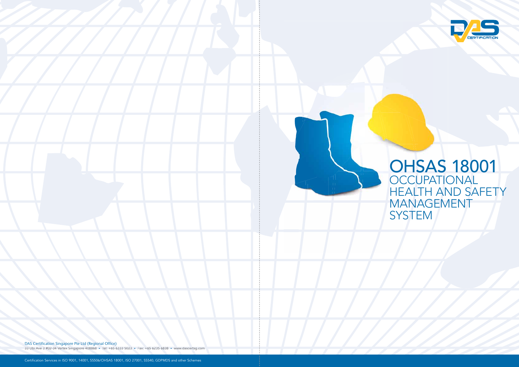DAS Certification Singapore Pte Ltd (Regional Office)

33 Ubi Ave 3 #02-34 Vertex Singapore 408868 • Tel: +65 6333 5023 • Fax: +65 6235 6838 • www.dascertsg.com • • 6838 •



## OHSAS 18001 **OCCUPATIONAL** HEALTH AND SAFETY MANAGEMENT **SYSTEM**